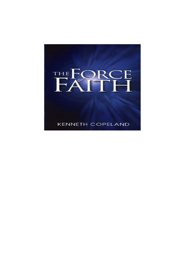# EATTH

**KENNETH COPELAND**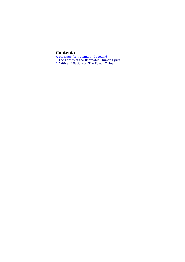# **Contents**

A Message from Kenneth Copeland 1 The Forces of the Recreated Human Spirit 2 Faith and Patience—The Power Twins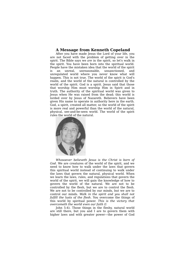### **A Message from Kenneth Copeland**

After you have made Jesus the Lord of your life, you are not faced with the problem of getting over in the spirit. The Bible says we *are* in the spirit, so let's walk in the spirit. You have been born into the spiritual world. People have the mistaken idea that the world of the spirit is an unreal, unreasonable, unsanctioned, and unregulated world where you never know what will happen. This is not true. The world of the spirit is God's realm, and the world of the natural is controlled by the world of the spirit. God is a spirit. Jesus said that those that worship Him must worship Him in Spirit and in truth. The authority of the spiritual world was given to Jesus when He was raised from the dead; this world is lorded over by Jesus of Nazareth. Believers have been given His name to operate in authority here in the earth. God, a spirit, created all matter, so the world of the spirit is more real and powerful than the world of the natural, physical, see-and-be-seen world. The world of the spirit rules the world of the natural.



*Whosoever believeth Jesus is the Christ is born of God.* We are creatures of the world of the spirit, and we need to know how to walk under the laws that govern this spiritual world instead of continuing to walk under the laws that govern the natural, physical world. When we learn the laws, rules, and regulations that govern the world of the spirit, we will gain the knowledge of how to govern the world of the natural. We are not to be controlled by the flesh, but we are to control the flesh. We are not to be controlled by our minds, but we are to control our minds. *Walk in the spirit and you shall not fulfill the lusts of the flesh.* You overcome the things of this world by spiritual power. *This is the victory that overcometh the world even our faith* (I

John 5:4). Those things in the fleshy, natural world are still there, but you and I are to govern them with higher laws and with greater power—the power of God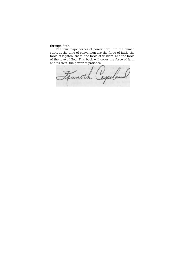through faith.

The four major forces of power born into the human spirit at the time of conversion are the force of faith, the force of righteousness, the force of wisdom, and the force of the love of God. This book will cover the force of faith and its twin, the power of patience.

Fenneth Copeland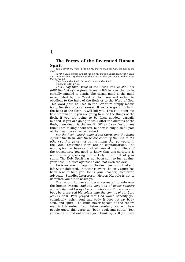### **The Forces of the Recreated Human Spirit**

*This I say then, Walk in the Spirit, and ye shall not fulfil the lust of the flesh.*

*For the flesh lusteth against the Spirit, and the Spirit against the flesh: and these are contrary the one to the other: so that ye cannot do the things that ye would.*

*If we live in the Spirit, let us also walk in the Spirit.*

*Galatians 5:16, 17, 25*

*This I say then, Walk in the Spirit, and ye shall not fulfil the lust of the flesh.* Romans 8:6 tells us that to be carnally minded is death. The carnal mind is the mind unregulated by the Word of God. You will either be obedient to the lusts of the flesh or to the Word of God. This word *flesh* as used in the Scripture simply means *body, the five physical senses.* If you are going to fulfill the lusts of the flesh, it will kill you. This is a blunt but true statement. If you are going to mind the things of the flesh, if you are going to be flesh minded, carnally minded, if you are going to walk after the dictates of the flesh, then death is the result. (When I say flesh, many think I am talking about sex, but sex is only a small part of the five physical sense realm.)

*For the flesh lusteth against the Spirit, and the Spirit against the flesh: and these are contrary the one to the other: so that ye cannot do the things that ye would.* In the Greek testament there are no capitalizations. The word *spirit* has been capitalized here at the privilege of the translators. You need to know that this scripture is not primarily speaking of the Holy Spirit but of your spirit. The Holy Spirit has not been sent to lust against your flesh. He lusts against no one, not even the devil.

He is not warring against the devil. Jesus did that and left Satan defeated. That war is over! The Holy Spirit has been sent to help you. He is your Teacher, Comforter, Advocate, Standby, Intercessor, Helper. His role is not to dominate you but to assist you.

The reborn human spirit was recreated to rule over the human system. *And the very God of peace sanctify you wholly; and I pray God your whole spirit and soul and body be preserved blameless unto the coming of our Lord Jesus Christ.* Paul prayed that God would sanctify you completely—spirit, soul, and body. It does not say body, soul, and spirit. The Bible never speaks of the reborn man in this order. If you listen carefully, you will hear people quote this verse as "body, soul, and spirit." Test yourself and find out where your thinking is. If you have

**1**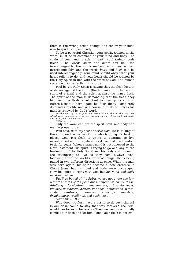them in the wrong order, change and renew your mind now to spirit, soul, and body.

To be a powerful Christian your spirit, trained in the Word, must be in command of your mind and body. The chain of command is spirit (heart), soul (mind), body (flesh). The words *spirit* and *heart* can be used interchangeably; the words *soul* and *mind* can be used interchangeably; and the words *body* and *flesh* can be used interchangeably. Your mind should obey what your heart tells it to do, and your heart should be trained by the Holy Spirit in line with the Word of God. The human system works perfectly in this order.

Paul by the Holy Spirit is saying that the flesh lusteth or drives against the spirit (the human spirit, the reborn spirit of a man) and the spirit against the man's flesh. The spirit of the man is demanding that the flesh obey him, and the flesh is reluctant to give up its control. Before a man is born again, his flesh (body) completely dominates his life and will continue to do so unless his mind is renewed by God's Word.

*For the word of God is quick, and powerful, and sharper than any twoedged sword, piercing even to the dividing asunder of the soul and spirit, and of the joints and marrow ...*

*Hebrews 4:12*

Only the Word can put the spirit, soul, and body of a man in proper order.

Paul said, *with my spirit I serve God.* He is talking of the spirit on the inside of him who is doing his best to please God. His flesh is trying to continue to live unrestrained and unregulated as it has had the freedom to do for years. When a man's mind is not renewed to the New Testament, his spirit is trying to go one way at the leadership of the Holy Spirit and his body and his mind are attempting to live as they have always lived, following after the world's order of things. He is being pulled in two different directions at once. When the man was born again, his spirit became a new creature in Christ Jesus, but his mind and body were unchanged. Now his spirit is right with God but *his mind and body must be trained.*

*But if ye be led of the Spirit, ye are not under the law. Now the works of the flesh are manifest, which are these; Adultery, fornication, uncleanness, lasciviousness, idolatry, witchcraft, hatred, variance, emulations, wrath, strife, seditions, heresies, envyings, murders, drunkenness, revellings, and such like ...*

*Galatians 5:18-20*

Why does the flesh have a desire to do such things? Is our flesh bound to stay that way forever? The devil would like for us to believe so. Then we would continually combat our flesh and let him alone. Your flesh is not evil.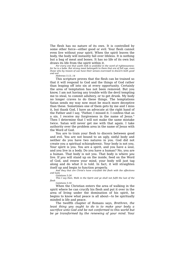The flesh has no nature of its own. It is controlled by some other force—either good or evil. Your flesh cannot even live without your spirit. When the spirit leaves the body, the body will instantly fall over lifeless. It is nothing but a bag of meat and bones. It has no life of its own but draws its life from the spirit within it.

*For every one that useth milk is unskilful in the word of righteousness: for he is a babe. But strong meat belongeth to them that are of full age, even those who by reason of use have their senses exercised to discern both good and evil*

*Hebrews 5:13, 14*

This scripture proves that the flesh can be trained so that it will respond to God and the things of God rather than leaping off into sin at every opportunity. Certainly the area of temptation has not been removed. But you know, I am not having any trouble with the devil tempting me to steal, to commit adultery, or to get drunk. My body no longer craves to do these things. The temptations Satan sends my way now must be much more deceptive than these. Sometimes one of them gets by me and I miss it, but thank God, I have an advocate at the right hand of the Father and I say, "Father, I missed it. I confess that as a sin. I receive my forgiveness in the name of Jesus." Then I determine that I will not make the same mistake twice. Satan will never get me with that again. I take authority over the problem area in the name of Jesus with the Word of God.

You are to train your flesh to discern between good and evil. You are not bound to an ugly, sinful body and neither do you have two natures in you. God did not create you a spiritual schizophrenic. Your body is not you. Your spirit is you. You are a spirit, and you have a soul, and you live in a body. Do you have a human? No, you are a human. That body is not you. That body is where *you* live. If *you* will stand up on the inside, feed on the Word of God, and renew your mind, your body will just tag along and do what it is told. In fact, it will straighten itself up and begin to function properly.

*And they that are Christ's have crucified the flesh with the affections and lusts Galatians 5:24*

*This I say then, Walk in the Spirit and ye shall not fulfil the lust of the flesh*

*Galatians 5:16*

When the Christian enters the area of walking in the spirit where he can crucify his flesh and put it over in the area of living under the domination of his spirit, he begins to know what peace is all about—to be spiritually minded is life and peace.

The twelfth chapter of Romans says, *Brethren, the least thing you ought to do is to make your body a sacrifice unto God and be not conformed to this world but be ye transformed by the renewing of your mind.* Your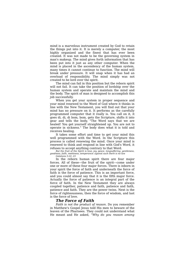mind is a marvelous instrument created by God to retain the things put into it. It is merely a computer, the most highly organized and the finest that has ever been created. It was not made to be the governing system in man's makeup. The mind gives forth information that has been put into it just as any other computer. When the mind is placed in the ascendency of the human system, many times it cannot continue to function. The mind will break under pressure. It will snap when it has had an overload of responsibility. The mind simply was not created to be lord over the spirit.

The mind can fail in this position but the reborn spirit will not fail. It can take the position of lordship over the human system and operate and maintain the mind and the body. The spirit of man is designed to accomplish this job successfully.

When you get your system in proper sequence and your mind renewed to the Word of God where it thinks in line with the New Testament, you will find out that your mind has no pressure on it. It performs as the carefully programmed computer that it really is. You call on it, it goes di, di, di bom, bom, gets the Scripture, shifts it into gear and tells the body, "The Word says that we are healed! You get yourself straightened up. You are not to operate in sickness." The body does what it is told and receives healing.

It takes some effort and time to get your mind this well programmed with the Word. In the Scripture this process is called renewing the mind. Once your mind is renewed to think and respond in line with God's Word, it refuses to accept anything contrary to that Word.

*But the fruit of the Spirit is love, joy, peace, longsuffering, gentleness, goodness, faith, meekness, temperance: against such there is no law Galatians 5:22, 23*

In the reborn human spirit there are four major forces. All of these—the fruit of the spirit—come under one or more of these four major forces. There is inborn in your spirit the force of faith and underneath the force of faith is the force of patience. This is an important force, and you could almost say that it is the fifth major force. Actually the force of patience is an integral part of the force of faith. In the New Testament they are always coupled together, patience and faith, patience and faith, patience and faith. They are the power twins. Next is the force of righteousness, then the force of wisdom, and last is the force of love.

### *The Force of Faith*

*Faith is not the product of reason.* Do you remember in Matthew's Gospel Jesus told His men to beware of the leaven of the Pharisees. They could not understand what He meant and He asked, *"Why do you reason among*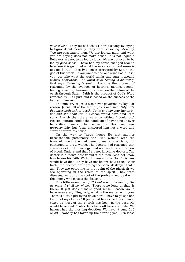*yourselves?"* They missed what He was saying by trying to figure it out mentally. They were reasoning. Men say, "We are reasonable men. We are logical men, and what you are saying does not make sense. It is not logical." Believers are not to be led by logic. We are not even to be led by *good sense.* I have had my sense changed around to where it is good but what the world calls good sense is not good at all. It is *bad* sense corrupted by Satan, the god of this world. If you want to find out what God thinks, you just take what the world thinks and turn it around exactly backwards. The world says, *Seeing is believing.* God says, *Believing is seeing.* Logic is the product of reasoning by the avenues of hearing, tasting, seeing, feeling, smelling. Reasoning is based on the failure of the earth through Satan. Faith is the product of God's Word revealed by His Spirit and is based on the success of the Father in heaven.

The ministry of Jesus was never governed by logic or reason. Jairus fell at the feet of Jesus and said, *"My little daughter lieth sick to death. Come and lay your hands on her and she shall live. "* Reason would have said, "I'm sorry. I wish that there were something I could do." Reason operates under the handicap of having no answer to critical needs. The request of this man was *unreasonable,* but Jesus answered him not a word and started toward his house.

On the way to Jairus' house He met another unreasonable personality—the little woman with the issue of blood. She had been to many physicians, but continued to grow worse. The doctors had reasoned that she was sick, but their logic had no cure to stop the flow of blood. Understand that I am not knocking doctors. The doctor is a man's best friend if the man does not know how to use his faith. Without them most of the Christians would have died! They have not known how to use their faith. The doctors are fighting the same destroyer that I am. They are operating in the realm of the physical; we are operating in the realm of the spirit. They treat diseases; we go to the root of the problem and deal with the enemy who causes the disease.

This little woman said, *"If I but touch the hem of His garment, I shall be whole."* There is no logic in that, is there? It just doesn't make good sense. Reason would have answered, "Hey, lady, what is the matter with you? There is a little girl dying down here. I have to go see her. Let go of my clothes." If Jesus had been ruled by *common sense* as most of the church has been in the past, He would have said, "Folks, let's back off here a minute. We haven't had the morning devotion. We haven't sung 246 or 391. Nobody has taken up the offering yet. Turn loose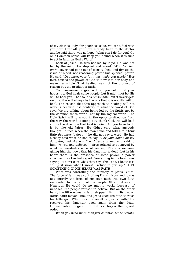of my clothes, lady, for goodness sake. We can't fool with you now. After all, you have already been to the doctor and he said there was no hope. What can I do for you? Go on." Common sense will keep you bound when it is time to act in faith on God's Word!

Look at Jesus. He was not led by logic. He was not led by the mind. He stopped and asked, *"Who touched me?"* Power had gone out of Jesus to heal and dry up the issue of blood, not reasoning power but spiritual power. He said, *"Daughter, your faith has made you whole."* Her faith caused the power of God to flow into her body and make her whole. That healing was not the product of reason but the product of faith.

Common-sense religion will tell you not to get your hopes, up. God heals some people, but it might not be His will to heal you. That sounds *reasonable,* but it never gets results. You will always be the one that it is not His will to heal. The reason that this approach to healing will not work is because it is contrary to what the Word of God says. We are talking about being led by the Spirit, not by the common-sense world, not by the logical world. The Holy Spirit will turn you in the opposite direction from the way the world is going but, thank God, He *will* lead you in the direction that God is going. All you have to do is be like old Jairus. He didn't care what anybody thought. In fact, when the man came and told him, *"Your little daughter is dead, "* he did not say a word. He had already said what he had to say: *"Lay your hands on my daughter, and she will live. "* Jesus turned and said to him, *"Jairus, just believe. "* Jairus refused to be moved by what he heard—his *sense* of hearing. There is someone giving him the news that his daughter is dead, but in his heart there is the presence of some power, a power stronger than the bad report. Something in his heart was saying, "I don't care what they say. This is so. I know it is so. I just know what I know! I refuse to give up." THAT SOMETHING IN HIS HEART WAS FAITH.

What was controlling the ministry of Jesus? *Faith.* The force of faith was controlling His ministry, and it was not entirely the force of His own faith. His own faith responded to the faith of the people. (It still does.) In Nazareth He could do no mighty works because of unbelief. The people refused to believe. But on the other hand, the little woman's faith stopped Him in His tracks. Jairus' faith moved Him, and Jesus used His faith to raise his little girl. What was the result of Jairus' faith? He received his daughter back again from the dead. Unreasonable! Illogical! But that is victory of the highest order.

*When you need more than just common-sense results,*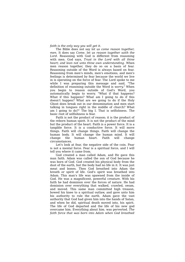### *faith is the only way you will get it.*

The Bible does not say *let us come reason together, men.* It does say *Come, let us reason together saith the Lord.* Reasoning with God is different from reasoning with men. God says, *Trust in the Lord with all thine heart; and lean not unto thine own understanding.* When men reason together, they do so on a basis of fear. Reasoning outside of the Word is always based on fear. Reasoning from men's minds, men's emotions, and men's feelings is determined by fear because the world we live in is operating on the force of fear. The Lord spoke to me while I was preparing this message and said, "The definition of reasoning outside the Word is *worry."* When you begin to reason outside of God's Word, you automatically begin to worry. "What if that happens? What if this happens? What am I going to do if this doesn't happen? What are we going to do if the Holy Ghost does break out in our denomination and men start talking in tongues right in the middle of church? What am I going to do?" The big I. That is selfishness. The basic root of selfishness is fear.

Faith is not the product of reason; it is the product of the reborn human spirit. It is not the product of the mind but the product of the heart. Faith is a power force. It is a tangible force. It is a conductive force. It will move things. Faith will change things. Faith will change the human body. It will change the human mind. It will change the human heart. Faith will change circumstances.

Let's look at fear, the negative side of the coin. Fear is not a mental force. Fear is a spiritual force, and I will tell you where it came from.

God created a man called Adam, and He gave this man faith. Adam was called the son of God because he was born of God. God created his physical body from the dust of the earth, but the body had no life in it. It was just meat and bones. Then God breathed into Adam the breath or spirit of life. God's spirit was breathed into Adam. This man's life was spawned from the inside of God. He was a magnificent, powerful creature. With his faith he had dominion over the forces of nature. He had dominion over everything that walked, crawled, swam, and moved. This same man committed high treason, bowed his knee to a spiritual outlaw, and gave unto him his authority to rule the earth. Adam gave the vast authority that God had given him into the hands of Satan, and when he did, spiritual death moved into, his spirit. The life of God departed and the life of his new god overcame him. Everything about him. was perverted. *The faith force that was born into Adam when God breathed*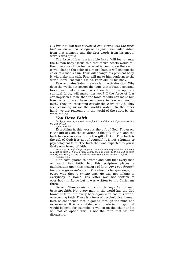*His life into him was perverted and turned into the force that we know and recognize as fear.* Fear ruled Adam from that moment, and the first words from his mouth were, *I was afraid.*

The force of fear is a tangible force. Will fear change the human body? Jesus said that men's hearts would fail them because of the fear of what is coming on the earth. It will change the color of a man's hair. It will change the color of a man's skin. Fear will change his physical body. It will make him sick. Fear will make him conform to the world. It will control his mind. Fear will kill his body.

Fear activates Satan the way faith activates God. Why does the world not accept the logic that if fear, a spiritual force, will make a man sick then faith, the opposite spiritual force, will make him well? If the force of fear can imprison a man, then the force of faith can make him free. Why do men have confidence in fear and not in faith? They are reasoning *outside* the Word of God. They are reasoning *inside* the world's order. On the other hand, we are reasoning in the world of the spirit by the Word of God.

### *You Have Faith*

*For by grace are ye saved through faith; and that not of yourselves: it is the gift of God*

*Ephesians 2:8*

Everything in this verse is the gift of God. The grace is the gift of God, the salvation is the gift of God, and the faith to receive salvation is the gift of God. This faith is the gift of God; it is not of yourself. It is not a human or psychological faith. The faith that was imparted to you is God's own brand of faith.

*For I say, through the grace given unto me, to every man that is among you, not to think of himself more highly than he ought to think; but to think soberly, according as God hath dealt to every man the measure of faith Romans 12:3*

Men have quoted this verse and said that every man on earth has faith, but this scripture places a qualification upon this measure of faith. *For I say through the grace given unto me ...* (To whom is he speaking?) *to every man that is among you.* He was not talking to everybody in Rome. His letter was not written to everybody in Rome but it was written to the Christians there.

Second Thessalonians 3:2 simply says *for all men have not faith.* Not every man in the world has the God brand of faith, but every born-again man has this worldovercoming faith. There is a form of psychological human faith or confidence that is gained through the mind and experience. It is a confidence in material things that would believe, for example, "I will sit on this chair and it will not collapse." This is not the faith that we are discussing.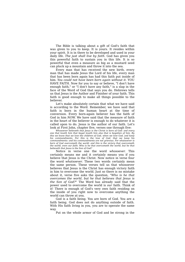The Bible is talking about a gift of God's faith that was given to you to keep. It is yours. It resides within your spirit. It is in there to be developed and used in your daily life. *The just shall live by faith.* God has given you this powerful faith to sustain you in this life. It is so powerful that even a measure as big as a mustard seed can pluck up a mountain and throw it into the sea.

Every man that has received the new birth, every man that has made Jesus the Lord of his life, every man that has been born again has had this faith put inside of him. *You could not have been born again without it.* YOU HAVE FAITH. Now for you to say or believe, "I don't have enough faith," or "I don't have any faith," is a slap in the face of the Word of God that says you do. Hebrews tells us that Jesus is the Author and Finisher of your faith. This faith is good enough to make all things possible to the believer.

Let's make absolutely certain that what we have said is according to the Word. Remember, we have said that faith is born in the human heart at the time of conversion. Every born-again believer has the faith of God in him *NOW.* We have said that the measure of faith in the heart of the believer is enough to do whatever it is called upon to do. Jesus is the author of our faith. Let's look at First John, chapter five, verses one through five:

*Whosoever believeth that Jesus is the Christ is born of God: and every one that loveth him that begat loveth him also that is begotten of him. By this we know that we love the children of God, when we love God, and keep his commandments. For this is the love of God, that we keep his commandments: and his commandments are not grievous. For whatsoever is born of God overcometh the world: and this is the victory that overcometh the world, even our faith. Who is he that overcometh the world, but he that believeth that Jesus is the Son of God?*

Notice in verse one the word *whosoever.* This certainly means me and it certainly means you if you believe that Jesus is the Christ. Now notice in verse four the word *whatsoever.* These two words certainly mean the same person. These verses tell us that whosoever believes that Jesus is the Christ has enough victory faith in him to overcome the world. Just so there is no mistake about it, verse five asks the question, *"Who is he that overcomes the world, but he that believes that Jesus is the Son of God?"* The Word has already said that the power used to overcome the world is *our* faith. Think of it! There is enough of God's very own faith residing on the inside of you right now to overcome anything the world can throw at you.

God is a faith being. You are born of God. You are a faith being. God does not do anything outside of faith. With His faith living in you, you are to operate the same way.

Put on the whole armor of God and be strong in the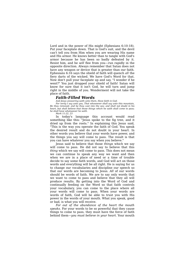Lord and in the power of His might (Ephesians 6:10-18). Put your faceplate down. That is God's suit, and the devil can't tell you from Him when you are wearing His name and His armor. He knows better than to tangle with God's armor because he has been so badly defeated by it. Resist him, and he *will* flee from you—run rapidly in the opposite direction. Always remember that Satan does not have any weapon or device that is greater than our faith. Ephesians 6:16 says the shield of faith will quench *all* the fiery darts of the wicked. We have God's Word for that. Now don't pull your faceplate up and say, "I wonder if he went?" You just dropped your shield of faith! Satan will know for sure that it isn't God, he will turn and jump right in the middle of you. Wonderment will not take the place of faith.

### *Faith-Filled Words*

*And Jesus answering saith unto them, Have faith in God.*

*For verily I say unto you, That whosoever shall say unto this mountain, Be thou removed, and be thou cast into the sea; and shall not doubt in his heart, but shall believe that those things which he saith shall come to pass; he shall have whatsoever he saith.*

*Mark 11:22, 23*

In today's language this account would read something like this: "Jesus spoke to the fig tree, and it dried up from the roots." In explaining this Jesus said, "This is the way you operate the faith of God. You speak the desired result and do not doubt in your heart. In other words you believe that your words have power, and the things you say will come to pass. The result is that you can have whatever you say when you believe."

Jesus said to believe that those *things* which we say will come to pass. He did not say to believe that this *thing* which we say will come to pass. This does not mean we can continue to speak any way we want and then when we are in a place of need or a time of trouble decide to say some faith words, and God will act on those words and everything will be all right. He is saying for us to change our vocabularies and discipline our speech so that our words are becoming to Jesus. *All* of our words should be words of faith. We are to say only words that we want to come to pass and believe that they all will produce results. By getting into the Word of God and continually feeding on the Word so that faith controls your vocabulary, you can come to the place where all your words will come to pass. When your words are words of faith, God will be able to trust you with His power in the words of your mouth. What you speak, good or bad, is what you will receive.

*For out of the abundance of the heart the mouth speaks.* For your words to be so powerful that they cause things to come to pass, they must have the force of faith behind them*—you must believe in your heart.* Your mouth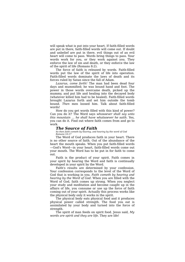will speak what is put into your heart. If faith-filled words are put in there, faith-filled words will come out. If doubt and unbelief are put in there, evil things out of an evil heart will come to pass. Words bring things to pass. Your words work for you, or they work against you. They enforce the law of sin and death, or they enforce the law of the spirit of life (Romans 8:2).

The force of faith is released by words. Faith-filled words put the law of the spirit of life into operation. Faith-filled words dominate the laws of death and its forces ruled by Satan since the fall of Adam.

*Lazarus, come forth!* The man had been dead four days and mummified; he was bound hand and foot. The power in those words overcame death, picked up the mummy, and put life and healing into the decayed body (whatever killed him had to be healed). Faith-filled words brought Lazarus forth and set him outside the tomb bound. *Then* men loosed him. Talk about faith-filled words!

How do you get words filled with this kind of power? Can you do it? The Word says *whosoever shall say unto this mountain ... he shall have whatsoever he saith.* Yes, you can do it. Find out where faith comes from and go to work.

### *The Source of Faith*

*So then faith cometh by hearing, and hearing by the word of God Romans 10:17*

The Word of God produces faith in your heart. There is no other source of faith. Out of the abundance of the heart the mouth speaks. When you put faith-filled words —God's Word—in your heart, faith-filled words come out your mouth. The Word has to be put in for faith to come out.

Faith is the product of your spirit. Faith comes in your spirit by hearing the Word and faith is continually developed in your spirit by the Word.

Faith's results are determined by your confession. Your confession corresponds to the level of the Word of God that is working in you. *Faith cometh by hearing and hearing by the Word of God.* When you are filled with the Word of God, faith comes up strong. When you neglect your study and meditation and become caught up in the affairs of life, you consume or use up the force of faith coming out of your spirit. Actually this process works like the physical body only it works in the spirit.

The physical body eats physical food and it produces physical power called strength. The food you eat is assimilated by your body and turned into the force of strength.

The spirit of man feeds on spirit food. Jesus said, *My words are spirit and they are life.* They are life!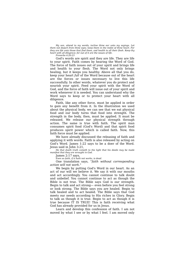*My son, attend to my words; incline thine ear unto my sayings. Let them not depart from thine eyes; keep them in the midst of thine heart. For they are life unto those that find them, and health to all their flesh. Keep thy heart with all diligence; for out of it are the issues of life.*

*Proverbs 4:20-23*

God's words are spirit and they are life. They are life to your spirit. Faith comes by hearing the Word of God. The force of faith issues out of your spirit and brings life and health to your flesh. The Word not only brings healing, but it keeps you healthy. Above all that you do, keep your heart *full* of the Word because out of the heart are the forces or issues necessary to live this life successfully. In other words, whatever you do protect and nourish your spirit. Feed your spirit with the Word of God, and the force of faith will issue out of your spirit and work whenever it is needed. You can understand why the Word says to keep or to protect your heart with all diligence.

Faith, like any other force, must be applied in order to gain any benefit from it. In the illustration we used about the physical body, we can see that we eat physical food and our body turns that food into strength. The strength in the body, then, must be applied. It must be released. We release our physical strength through action. The same is true with faith. The spirit man consumes spirit food (God's Word) and that spirit food produces spirit power which is called faith. Now, this faith force must be applied.

We have already discussed the releasing of faith and applying it with words. Faith is also released by acting on God's Word. James 1:22 says to be a doer of the Word. Jesus said in John 3:21,

*He that doeth truth cometh to the light that his deeds may be made manifest that they are wrought in God.*

James 2:17 says,

*Even so faith, if it hath not works, is dead.*

One translation says, *"faith without corresponding action will not work."*

We begin by putting God's Word in our heart. As an act of our will we believe it. We say it with our mouths and act accordingly. You cannot continue to talk doubt and unbelief. You cannot continue to act as though the Bible is not true. The Bible says God is our strength. Begin to talk and act strong— even before you feel strong or look strong. The Bible says you are healed. Begin to talk healed and to act healed. The Bible says that God meets our needs according to His riches in Glory. Begin to talk as though it is true. Begin to act as though it is true because IT IS TRUE! This is faith receiving what God has already provided for us in Jesus.

Learn and develop this confession of faith. I am not moved by what I see or by what I feel. I am moved only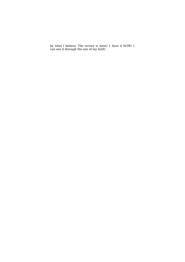by what I believe. The victory is mine! 1 have it NOW! I can see it through the eye of my faith!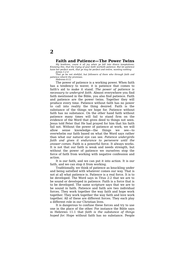### **Faith and Patience—The Power Twins**

*My brethren, count it all joy when ye fall into divers temptations; Knowing this, that the trying of your faith worketh patience. But let patience have her perfect work, that ye may be perfect and entire, wanting nothing James 1:2-4*

*That ye be not slothful, but followers of them who through faith and patience inherit the promises. Hebrews 6:12*

The power of patience is a working power. When faith has a tendency to waver, it is patience that comes to faith's aid to make it stand. *The power of patience is necessary to undergird faith.* Almost everywhere you find faith mentioned in the Bible, you also find patience. Faith and patience are the power twins. Together they will produce every time. Patience without faith has no power to call into reality the thing desired. Faith is the substance of the things we hope for. Patience without faith has no substance. On the other hand faith without patience many times will fail to stand firm on the evidence of the Word that gives deed to things not seen. Jesus told Peter that He had prayed for him that his faith fail not. Without the power of patience at work, we will allow sense knowledge—the things we see—to overwhelm our faith based on what the Word says rather than what our natural eye can see. *Patience undergirds faith and gives it endurance to persevere until the answer comes.* Faith is a powerful force. It always works. It is not that our faith is weak and needs strength, but without the power of patience we ourselves stop the force of faith from working with negative confession and action.

It is our faith, and we can put it into action. It is our faith, and we can stop it from working.

Traditionally, we think of patience as knuckling under and being satisfied with whatever comes our way. That is not at all what patience is. Patience is a real force. It is to be developed. The Word says in Titus 2:2 that we are to be sound or developed in patience. Faith is a force that is to be developed. The same scripture says that we are to be sound in faith. Patience and faith are two individual forces. They work together the way faith and hope work together. They work together the way faith and love work together. All of these are different forces. They each play a different role in our Christian lives.

It is dangerous to confuse these forces and try to use one in the place of the other. For instance the Bible says in Hebrews 11:1 that *faith is the substance of things hoped for.* Hope without faith has no substance. People

## **2**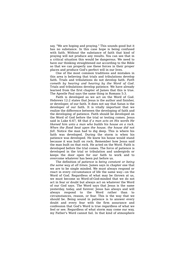say, "We are hoping and praying." This sounds good but it has no substance. In this case hope is being confused with faith. Without the substance of faith that kind of praying will not produce any results. You can see that in a critical situation this would be dangerous. We need to have our thinking straightened out according to the Bible so that we can properly use these forces in their proper places and produce God's perfect will in our lives.

One of the most common traditions and mistakes in this area is believing that trials and tribulations develop faith. Trials and tribulations do not develop faith. *Faith cometh by hearing and hearing by the Word of God.* Trials and tribulations develop patience. We have already learned from the first chapter of James that this is true. The Apostle Paul says the same thing in Romans 5:3.

Faith is developed as we act on the Word of God. Hebrews 12:2 states that Jesus is the author and finisher, or developer, of our faith. It does not say that Satan is the developer of our faith. It is vitally important that we realize the difference between the developing of faith and the developing of patience. Faith should be developed on the Word of God before the trial or testing comes. Jesus said in Luke 6:47, 48 that *if a man acts on His words He likened him unto a man who builds his house on a rock. When the flood beat upon the house, the house did not fall.* Notice the man had to dig deep. This is where his faith was developed. During the storm is when his patience was developed. He knew his house would stand because it was built on rock. Remember how Jesus said the man built on that rock. He acted on the Word. Faith is developed before the trial comes. The force of patience is developed in the trial or tribulation and undergirds or keeps the door open for our faith to work and to overcome whatever has been put before us.

The definition of *patience* is *being constant or being the same way at all times.* James says in chapter one that we are to be single minded. We must always respond or react in every circumstance of life the same way—on the Word of God. Regardless of what may be thrown at us, we must become so Word-of-God-minded that we do not act in fear or doubt but always act on whatever the Word of our God says. The Word says that Jesus is the same yesterday, today, and forever. Jesus has always and will always respond to the Word rather than to circumstances, reason, or fear. This is the way that we should be. Being sound in patience is to answer every doubt and every fear with the firm assurance and confession that God's Word is true regardless of what we feel or see. Regardless of what storm may come our way, my Father's Word cannot fail. In that kind of atmosphere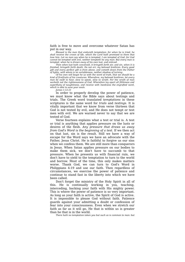faith is free to move and overcome whatever Satan has put in our way.

*Blessed is the man that endureth temptation: for when he is tried, he shall receive the crown of life, which the Lord hath promised to them that love him. Let no man say when he is tempted, I am tempted of God: for God cannot be tempted with evil, neither tempteth he any man: But every man is tempted, when he is drawn away of his own lust, and enticed.*

*Then when lust hath conceived, it bringeth forth sin: and sin, when it is finished, bringeth forth death. Do not err, my beloved brethren. Every good gift and every perfect gift is from above, and cometh down from the Father of lights, with whom is no variableness, neither shadow of turning.*

*Of his own will begat he us with the word of truth, that we should be a kind of firstfruits of his creatures. Wherefore, my beloved brethren, let every man be swift to hear, slow to speak, slow to wrath: For the wrath of man worketh not the righteousness of God. Wherefore lay apart all filthiness and superfluity of naughtiness, and receive with meekness the engrafted word, which is able to save your souls.*

*James 1:12-21*

In order to properly develop the power of patience, we must know what the Bible says about testings and trials. The Greek word translated *temptations* in these scriptures is the same word for *trials* and *testings.* It is vitally important that we know from verse thirteen that God is not tested by evil, and He does not tempt or test men with evil. We are warned never to say that we are tested of God.

Verse fourteen explains what a test or trial is. A test or trial is anything that applies pressure on the lusts or desires of the flesh. *Any pressure that draws us away from God's Word is the beginning of a test.* If we then act on that lust, sin is the result. Still we have a way of escape for the Word says we have an advocate with the Father, Jesus Christ. He is faithful to forgive us our sins when we confess them. We are still more than conquerors in Jesus. When Satan applies pressure on our bodies to make them sick, we don't have to succumb to that pressure. When he presents us with financial ruin, we don't have to yield to the temptation to turn to the world and borrow. Most of the time, this only makes matters worse. Thank God, we can turn to God's Word in Philippians 4:19 and use our faith. Then regardless of circumstances, we exercise the power of patience and continue to stand fast in the liberty into which we have been called.

Don't forget the ministry of the Holy Spirit in all of this. He is continually working in you, teaching, interceding, backing your faith with His mighty power. This is where the power of patience is so very important. As long as your faith is active, the Spirit of God is active. It is impossible to please God without faith. Patience guards against your admitting a doubt or confession of fear into your consciousness. Even when we stretch our faith as far as it will go, He that is within us is greater than he that is in the world.

*There hath no temptation taken you but such as is common to man: but*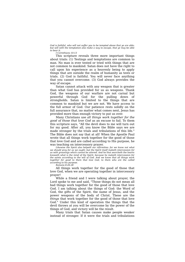*God is faithful, who will not suffer you to be tempted above that ye are able; but will with the temptation also make a way to escape, that ye may be able to bear it.*

*I Corinthians 10:13*

This scripture reveals three more important things about trials: (1) Testings and temptations are common to man. No man is ever tested or tried with things that are not common to mankind. Satan does not have the right to call upon his experience as a heavenly being to apply things that are outside the realm of humanity as tests or trials. (2) God is faithful. You will never face anything that you cannot overcome. (3) God always provides the way of escape.

Satan cannot attack with any weapon that is greater than what God has provided for us as weapons. Thank God, the weapons of our warfare are not carnal but powerful through God for the pulling down of strongholds. Satan is limited to the things that are common to mankind but we are not. We have access to the full armor of God. Our patience rests solidly on the full assurance that, no matter what comes next, Jesus has provided more than enough victory to put us over.

Many Christians use *all things work together for the good of those that love God* as an excuse to fail. To them this scripture says, "All the devil does to me will turn out for my good. After all, you know the Bible says we are made stronger by the trials and tribulations of this life." The Bible does not say that at all! When the Apostle Paul wrote that all things work together for the good of those that love God and are called according to His purpose, he was teaching on intercessory prayer.

*Likewise the Spirit also helpeth our infirmities: for we know not what we should pray for as we ought: but the Spirit itself maketh intercession for us with groanings which cannot be uttered. And he that searcheth the hearts knoweth what is the mind of the Spirit, because he maketh intercession for the saints according to the will of God. And we know that all things work together for good to them that love God, to them who are the called according to his purpose.*

*Romans 8:26-28*

All things work together for the good of those that love God, when we are operating together in intercessory prayer!

While a friend and I were talking about prayer, the Lord spoke to me and said, "Those things do not mean all bad things work together for the good of those that love God. I am talking about the things of God: the Word of God, the gifts of the Spirit, the name of Jesus, and the power weapons of the body of Christ. These are the *things* that work together for the good of those that love God." Under this kind of operation the things that the devil throws at you will be overcome by the power of the things of God, and victory will be the result.

Many trials that Satan causes make people weaker instead of stronger. If it were the trials and tribulations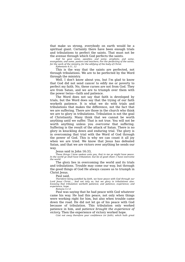that make us strong, everybody on earth would be a spiritual giant. Certainly there have been enough trials and tribulations to perfect the saints. That must not be the avenue through which God perfects the saints.

*And he gave some, apostles; and some, prophets; and some, evangelists; and some, pastors and teachers; For the perfecting of the saints, for the work of the ministry, for the edifying of the body of Christ.*

*Ephesians 4:11, 12*

This is the way that the saints are perfected, not through tribulations. We are to be perfected by the Word through the ministry.

Well. I don't know about you, but I'm glad to know that God did not send cancer to edify me or poverty to perfect my faith. No, these curses are not from God. They are from Satan, and we are to triumph over them with the power twins—faith and patience.

The Word does not say that faith is developed by trials, but the Word does say that the trying of our faith worketh patience. It is what we do with trials and tribulations that makes the difference, not the fact that we are suffering. There are those in the church who think we are to glory in tribulations. Tribulation is not the goal of Christianity. Many think that we cannot be worth anything until we suffer. That is not true. You will not be worth anything unless you *overcome* that suffering. Suffering is the result of the attack of Satan. There is no glory in knuckling down and enduring trial. The glory is in overcoming that trial with the Word of God through the power of God. This is why we can count it all joy when we are tried. We know that Jesus has defeated Satan, and that we are victors over anything he sends our way.

Jesus said in John 16:33,

*These things I have spoken unto you, that in me ye might have peace. In the world ye shall have tribulation: but be of good cheer; I have overcome the world.*

The glory lies in overcoming the world and its trials and tribulations. Trouble may come our way, but through the good things of God He always causes us to triumph in Christ Jesus.

Paul said,

*Therefore being justified by faith, we have peace with God through our Lord Jesus Christ.... And not only so, but we glory in tribulations also: knowing that tribulation worketh patience; and patience, experience; and experience, hope.*

*Romans 5:1-4*

Paul was saying that he had peace with God whatever came his way. He had this peace, not only when things were working right for him, but also when trouble came down the road. He did not let go of his peace with God because of tribulation. This tribulation only worked patience in him, and *patience brought the experience of victory.* Then the experience of victory worked hope.

*Cast not away therefore your confidence (or faith), which hath great*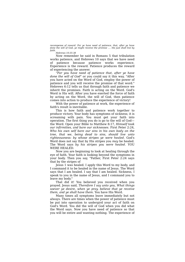*recompense of reward. For ye have need of patience, that, after ye have done the will of God, ye might receive the promise .... the just shall live by faith.*

*Hebrews 10:35-38*

Now remember he said in Romans 5 that tribulation works patience, and Hebrews 10 says that we have need of patience because patience works experience. Experience is the reward. Patience produces the reward of experiencing the answer.

*"For you have need of patience that, after ye have done the will of God"* or you could say it this way, "After you have acted on the Word of God, employ the power of patience and you will receive the promise of that word." Hebrews 6:12 tells us that through faith and patience we inherit the promises. Faith is acting on the Word. God's Word is His will. After you have exerted the force of faith by acting on the Word, the will of God, then patience comes into action to produce the experience of victory!

With the power of patience at work, the experience of faith's result is inevitable.

This is how faith and patience work together to produce victory. Your body has symptoms of sickness; it is screaming with pain. You must get your faith into operation. The first thing you do is go to the will of God the Word. Open your Bible to Matthew 8:17, *Himself took our infirmities, and bare our sicknesses.* First Peter 2:24, *Who his own self bare our sins in his own body on the tree, that we, being dead to sins, should live unto righteousness: by whose stripes ye were healed.* God's Word does not say that by His stripes you *may* be healed. The Word says *by his stripes you were healed.* YOU WERE HEALED.

Now you are beginning to look at healing through the eye of faith. Your faith is looking beyond the symptoms in your body. Then you say, "Father, First Peter 2:24 says that by the stripes of

Jesus 1 was healed. I apply this Word to my body, and I command it to be healed in the name of Jesus. The Word says that I am healed. I say that I am healed. Sickness, I speak to you in the name of Jesus, and I command you to leave my body."

That did it! You believed you received when you prayed. Jesus said, *Therefore I say unto you, What things soever ye desire, when ye pray, believe that ye receive them, and ye shall have them.* You have His Word.

Many times all symptoms leave immediately but not always. There are times when the power of patience must be put into operation to undergird your act of faith on God's Word. You did the will of God when you did what the Word says. Now you have need of patience so that you will be entire and wanting nothing. The experience of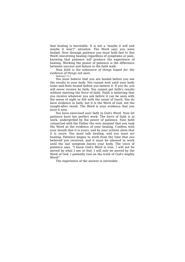that healing is inevitable. It is not a "maybe it will and maybe it won't" situation. The Word says you were healed. Now through patience you must hold fast to this Word concerning healing regardless of symptoms or pain, knowing that patience *will* produce the experience of healing. Working the power of patience is the difference between success and failure in the faith walk.

*Now faith is the substance of things hoped for, the evidence of things not seen.*

*Hebrews 11:1*

You must believe that you are healed before you see the results in your body. You cannot wait until your body looks and feels healed before you believe it. If you do, you will never receive by faith. You cannot get faith's results without exerting the force of faith. Faith is believing that you receive whatever you ask *before* it can be seen with the sense of sight or felt with the sense of touch. You do have evidence in faith, but it is the Word of God, not the sought-after result. The Word is your evidence that you have it now.

You have exercised your faith in God's Word. Now let patience have her perfect work. The force of faith is at work, undergirded by the power of patience. Your faith connected with the Father the very moment that you took His Word as the evidence of your healing. Confess with your mouth that it is yours, and by your actions show that it is yours. You must talk healing, and you must act healing. Patience begins to work from the time that you believed you received, and it must be allowed to work until the last symptom leaves your body. The voice of patience says, "I know God's Word is true. I will not be moved by what I see or feel. I will only be moved by the Word of God. I patiently rest on the truth of God's mighty Word!"

The experience of the answer is inevitable.